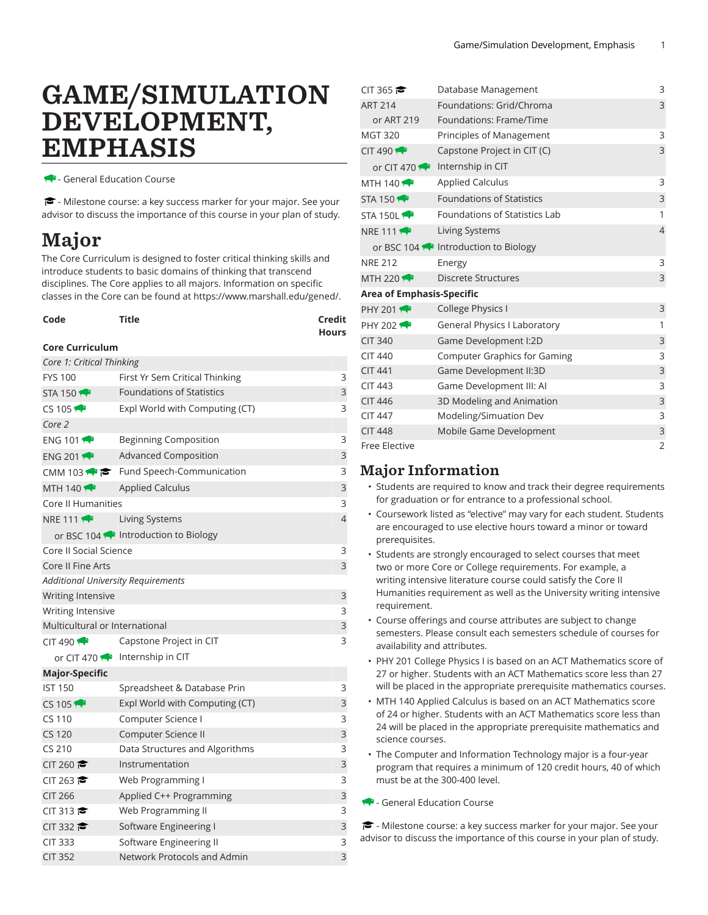## GAME/SIMULATION DEVELOPMENT, EMPHASIS

- General Education Course

 $\blacktriangleright$  - Milestone course: a key success marker for your major. See your advisor to discuss the importance of this course in your plan of study.

## Major

The Core Curriculum is designed to foster critical thinking skills and introduce students to basic domains of thinking that transcend disciplines. The Core applies to all majors. Information on specific classes in the Core can be found at [https://www.marshall.edu/gened/.](https://www.marshall.edu/gened/)

| Code                                      | Title                                               | Credit<br><b>Hours</b> |  |  |  |
|-------------------------------------------|-----------------------------------------------------|------------------------|--|--|--|
| <b>Core Curriculum</b>                    |                                                     |                        |  |  |  |
| Core 1: Critical Thinking                 |                                                     |                        |  |  |  |
| <b>FYS 100</b>                            | First Yr Sem Critical Thinking                      | 3                      |  |  |  |
| STA 150 $\rightarrow$                     | <b>Foundations of Statistics</b>                    | 3                      |  |  |  |
| $CS$ 105                                  | Expl World with Computing (CT)                      | 3                      |  |  |  |
| Core 2                                    |                                                     |                        |  |  |  |
| ENG 101                                   | <b>Beginning Composition</b>                        | 3                      |  |  |  |
| ENG 201                                   | <b>Advanced Composition</b>                         | 3                      |  |  |  |
|                                           | CMM 103 $\bullet \bullet$ Fund Speech-Communication | 3                      |  |  |  |
| MTH 140 $\leftrightarrow$                 | <b>Applied Calculus</b>                             | 3                      |  |  |  |
| Core II Humanities                        |                                                     | 3                      |  |  |  |
| <b>NRE 111 1</b>                          | Living Systems                                      | $\overline{4}$         |  |  |  |
|                                           | or BSC 104 M Introduction to Biology                |                        |  |  |  |
| Core II Social Science                    |                                                     | 3                      |  |  |  |
| Core II Fine Arts                         |                                                     | 3                      |  |  |  |
| <b>Additional University Requirements</b> |                                                     |                        |  |  |  |
| Writing Intensive                         |                                                     | 3                      |  |  |  |
| Writing Intensive                         |                                                     | 3                      |  |  |  |
| Multicultural or International            |                                                     | 3                      |  |  |  |
| $CIT$ 490                                 | Capstone Project in CIT                             | 3                      |  |  |  |
|                                           | or CIT 470 $\bullet$ Internship in CIT              |                        |  |  |  |
| <b>Major-Specific</b>                     |                                                     |                        |  |  |  |
| <b>IST 150</b>                            | Spreadsheet & Database Prin                         | 3                      |  |  |  |
| CS 105                                    | Expl World with Computing (CT)                      | 3                      |  |  |  |
| CS 110                                    | Computer Science I                                  | 3                      |  |  |  |
| <b>CS 120</b>                             | Computer Science II                                 | 3                      |  |  |  |
| CS 210                                    | Data Structures and Algorithms                      | 3                      |  |  |  |
| CIT 260                                   | Instrumentation                                     | 3                      |  |  |  |
| CIT 263                                   | Web Programming I                                   | 3                      |  |  |  |
| <b>CIT 266</b>                            | Applied C++ Programming                             | 3                      |  |  |  |
| CIT 313                                   | Web Programming II                                  | 3                      |  |  |  |
| CIT 332                                   | Software Engineering I                              | 3                      |  |  |  |
| <b>CIT 333</b>                            | Software Engineering II                             | 3                      |  |  |  |
| <b>CIT 352</b>                            | Network Protocols and Admin                         | 3                      |  |  |  |

| CIT 365                          | Database Management                         | 3              |
|----------------------------------|---------------------------------------------|----------------|
| <b>ART 214</b>                   | Foundations: Grid/Chroma                    | 3              |
| or ART 219                       | Foundations: Frame/Time                     |                |
| <b>MGT 320</b>                   | Principles of Management                    | 3              |
| CIT 490                          | Capstone Project in CIT (C)                 | 3              |
|                                  | or CIT 470 $\bullet$ Internship in CIT      |                |
| MTH 140 $\leftrightarrow$        | <b>Applied Calculus</b>                     | 3              |
| STA 150 $\rightarrow$            | <b>Foundations of Statistics</b>            | 3              |
| STA 150L                         | Foundations of Statistics Lab               | 1              |
| <b>NRE 111 1999</b>              | Living Systems                              | $\overline{4}$ |
|                                  | or BSC 104 <b>P</b> Introduction to Biology |                |
| <b>NRE 212</b>                   | Energy                                      | 3              |
| MTH 220                          | <b>Discrete Structures</b>                  | $\mathsf{3}$   |
| <b>Area of Emphasis-Specific</b> |                                             |                |
| <b>PHY 2011</b>                  | College Physics I                           | $\mathsf 3$    |
| <b>PHY 2021</b>                  | <b>General Physics I Laboratory</b>         | 1              |
| <b>CIT 340</b>                   | Game Development I:2D                       | 3              |
| <b>CIT 440</b>                   | Computer Graphics for Gaming                | 3              |
| <b>CIT 441</b>                   | Game Development II:3D                      | 3              |
| <b>CIT 443</b>                   | Game Development III: AI                    | 3              |
| <b>CIT 446</b>                   | 3D Modeling and Animation                   | 3              |
| <b>CIT 447</b>                   | Modeling/Simuation Dev                      | 3              |
| <b>CIT 448</b>                   | Mobile Game Development                     | $\mathsf 3$    |
| <b>Free Elective</b>             |                                             | $\overline{2}$ |

## Major Information

- Students are required to know and track their degree requirements for graduation or for entrance to a professional school.
- Coursework listed as "elective" may vary for each student. Students are encouraged to use elective hours toward a minor or toward prerequisites.
- Students are strongly encouraged to select courses that meet two or more Core or College requirements. For example, a writing intensive literature course could satisfy the Core II Humanities requirement as well as the University writing intensive requirement.
- Course offerings and course attributes are subject to change semesters. Please consult each semesters schedule of courses for availability and attributes.
- PHY 201 College Physics I is based on an ACT Mathematics score of 27 or higher. Students with an ACT Mathematics score less than 27 will be placed in the appropriate prerequisite mathematics courses.
- MTH 140 Applied Calculus is based on an ACT Mathematics score of 24 or higher. Students with an ACT Mathematics score less than 24 will be placed in the appropriate prerequisite mathematics and science courses.
- The Computer and Information Technology major is a four-year program that requires a minimum of 120 credit hours, 40 of which must be at the 300-400 level.
- General Education Course

- Milestone course: a key success marker for your major. See your advisor to discuss the importance of this course in your plan of study.